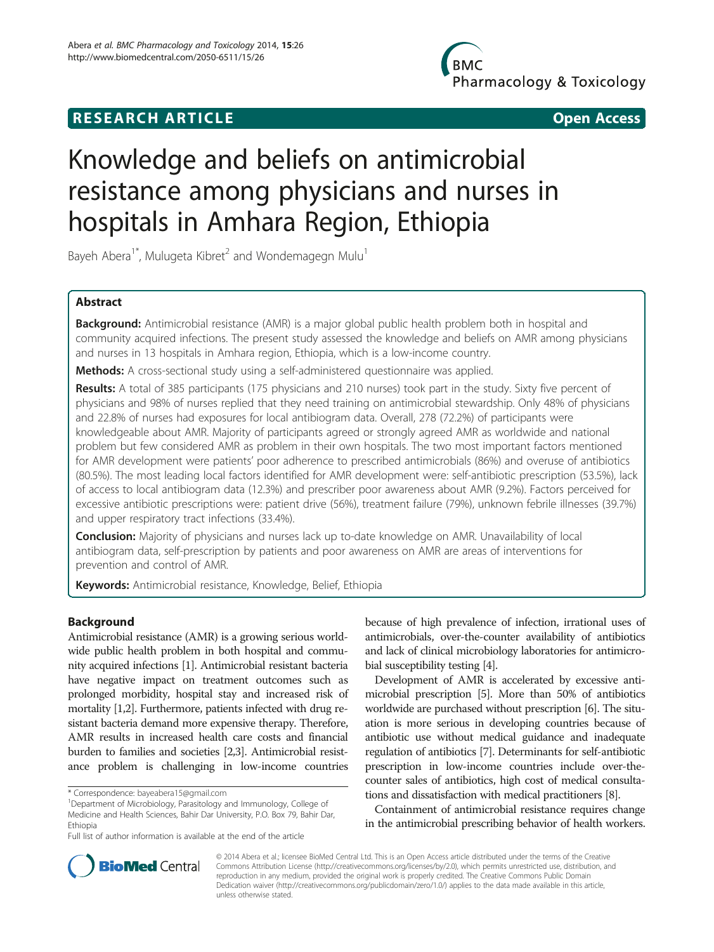# **RESEARCH ARTICLE Example 2008 CONSIDERING CONSIDERING CONSIDERING CONSIDERING CONSIDERING CONSIDERING CONSIDERING CONSIDERING CONSIDERING CONSIDERING CONSIDERING CONSIDERING CONSIDERING CONSIDERING CONSIDERING CONSIDE**

**BMC** Pharmacology & Toxicology

# Knowledge and beliefs on antimicrobial resistance among physicians and nurses in hospitals in Amhara Region, Ethiopia

Bayeh Abera<sup>1\*</sup>, Mulugeta Kibret<sup>2</sup> and Wondemagegn Mulu<sup>1</sup>

# Abstract

Background: Antimicrobial resistance (AMR) is a major global public health problem both in hospital and community acquired infections. The present study assessed the knowledge and beliefs on AMR among physicians and nurses in 13 hospitals in Amhara region, Ethiopia, which is a low-income country.

Methods: A cross-sectional study using a self-administered questionnaire was applied.

Results: A total of 385 participants (175 physicians and 210 nurses) took part in the study. Sixty five percent of physicians and 98% of nurses replied that they need training on antimicrobial stewardship. Only 48% of physicians and 22.8% of nurses had exposures for local antibiogram data. Overall, 278 (72.2%) of participants were knowledgeable about AMR. Majority of participants agreed or strongly agreed AMR as worldwide and national problem but few considered AMR as problem in their own hospitals. The two most important factors mentioned for AMR development were patients' poor adherence to prescribed antimicrobials (86%) and overuse of antibiotics (80.5%). The most leading local factors identified for AMR development were: self-antibiotic prescription (53.5%), lack of access to local antibiogram data (12.3%) and prescriber poor awareness about AMR (9.2%). Factors perceived for excessive antibiotic prescriptions were: patient drive (56%), treatment failure (79%), unknown febrile illnesses (39.7%) and upper respiratory tract infections (33.4%).

**Conclusion:** Majority of physicians and nurses lack up to-date knowledge on AMR. Unavailability of local antibiogram data, self-prescription by patients and poor awareness on AMR are areas of interventions for prevention and control of AMR.

Keywords: Antimicrobial resistance, Knowledge, Belief, Ethiopia

# Background

Antimicrobial resistance (AMR) is a growing serious worldwide public health problem in both hospital and community acquired infections [[1](#page-6-0)]. Antimicrobial resistant bacteria have negative impact on treatment outcomes such as prolonged morbidity, hospital stay and increased risk of mortality [\[1,2](#page-6-0)]. Furthermore, patients infected with drug resistant bacteria demand more expensive therapy. Therefore, AMR results in increased health care costs and financial burden to families and societies [[2,3](#page-6-0)]. Antimicrobial resistance problem is challenging in low-income countries

because of high prevalence of infection, irrational uses of antimicrobials, over-the-counter availability of antibiotics and lack of clinical microbiology laboratories for antimicrobial susceptibility testing [[4](#page-6-0)].

Development of AMR is accelerated by excessive antimicrobial prescription [\[5](#page-6-0)]. More than 50% of antibiotics worldwide are purchased without prescription [[6](#page-6-0)]. The situation is more serious in developing countries because of antibiotic use without medical guidance and inadequate regulation of antibiotics [\[7\]](#page-6-0). Determinants for self-antibiotic prescription in low-income countries include over-thecounter sales of antibiotics, high cost of medical consultations and dissatisfaction with medical practitioners [\[8\]](#page-6-0).

Containment of antimicrobial resistance requires change in the antimicrobial prescribing behavior of health workers.



© 2014 Abera et al.; licensee BioMed Central Ltd. This is an Open Access article distributed under the terms of the Creative Commons Attribution License [\(http://creativecommons.org/licenses/by/2.0\)](http://creativecommons.org/licenses/by/2.0), which permits unrestricted use, distribution, and reproduction in any medium, provided the original work is properly credited. The Creative Commons Public Domain Dedication waiver [\(http://creativecommons.org/publicdomain/zero/1.0/](http://creativecommons.org/publicdomain/zero/1.0/)) applies to the data made available in this article, unless otherwise stated.

<sup>\*</sup> Correspondence: [bayeabera15@gmail.com](mailto:bayeabera15@gmail.com) <sup>1</sup>

Department of Microbiology, Parasitology and Immunology, College of Medicine and Health Sciences, Bahir Dar University, P.O. Box 79, Bahir Dar, Ethiopia

Full list of author information is available at the end of the article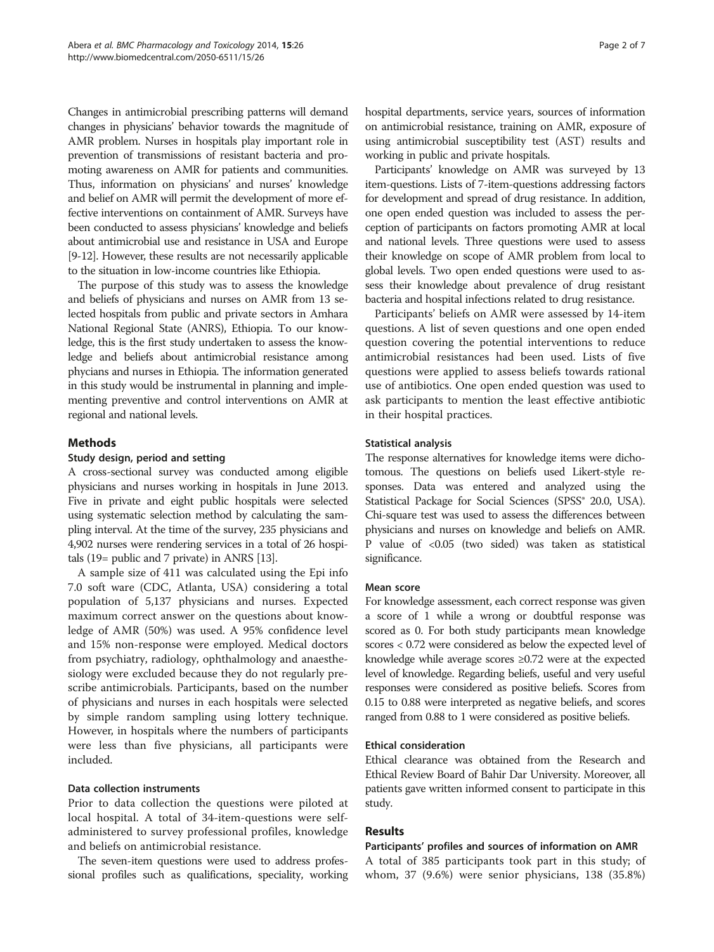Changes in antimicrobial prescribing patterns will demand changes in physicians' behavior towards the magnitude of AMR problem. Nurses in hospitals play important role in prevention of transmissions of resistant bacteria and promoting awareness on AMR for patients and communities. Thus, information on physicians' and nurses' knowledge and belief on AMR will permit the development of more effective interventions on containment of AMR. Surveys have been conducted to assess physicians' knowledge and beliefs about antimicrobial use and resistance in USA and Europe [[9](#page-6-0)-[12](#page-6-0)]. However, these results are not necessarily applicable to the situation in low-income countries like Ethiopia.

The purpose of this study was to assess the knowledge and beliefs of physicians and nurses on AMR from 13 selected hospitals from public and private sectors in Amhara National Regional State (ANRS), Ethiopia. To our knowledge, this is the first study undertaken to assess the knowledge and beliefs about antimicrobial resistance among phycians and nurses in Ethiopia. The information generated in this study would be instrumental in planning and implementing preventive and control interventions on AMR at regional and national levels.

# Methods

# Study design, period and setting

A cross-sectional survey was conducted among eligible physicians and nurses working in hospitals in June 2013. Five in private and eight public hospitals were selected using systematic selection method by calculating the sampling interval. At the time of the survey, 235 physicians and 4,902 nurses were rendering services in a total of 26 hospitals (19= public and 7 private) in ANRS [\[13\]](#page-6-0).

A sample size of 411 was calculated using the Epi info 7.0 soft ware (CDC, Atlanta, USA) considering a total population of 5,137 physicians and nurses. Expected maximum correct answer on the questions about knowledge of AMR (50%) was used. A 95% confidence level and 15% non-response were employed. Medical doctors from psychiatry, radiology, ophthalmology and anaesthesiology were excluded because they do not regularly prescribe antimicrobials. Participants, based on the number of physicians and nurses in each hospitals were selected by simple random sampling using lottery technique. However, in hospitals where the numbers of participants were less than five physicians, all participants were included.

# Data collection instruments

Prior to data collection the questions were piloted at local hospital. A total of 34-item-questions were selfadministered to survey professional profiles, knowledge and beliefs on antimicrobial resistance.

The seven-item questions were used to address professional profiles such as qualifications, speciality, working hospital departments, service years, sources of information on antimicrobial resistance, training on AMR, exposure of using antimicrobial susceptibility test (AST) results and working in public and private hospitals.

Participants' knowledge on AMR was surveyed by 13 item-questions. Lists of 7-item-questions addressing factors for development and spread of drug resistance. In addition, one open ended question was included to assess the perception of participants on factors promoting AMR at local and national levels. Three questions were used to assess their knowledge on scope of AMR problem from local to global levels. Two open ended questions were used to assess their knowledge about prevalence of drug resistant bacteria and hospital infections related to drug resistance.

Participants' beliefs on AMR were assessed by 14-item questions. A list of seven questions and one open ended question covering the potential interventions to reduce antimicrobial resistances had been used. Lists of five questions were applied to assess beliefs towards rational use of antibiotics. One open ended question was used to ask participants to mention the least effective antibiotic in their hospital practices.

#### Statistical analysis

The response alternatives for knowledge items were dichotomous. The questions on beliefs used Likert-style responses. Data was entered and analyzed using the Statistical Package for Social Sciences (SPSS® 20.0, USA). Chi-square test was used to assess the differences between physicians and nurses on knowledge and beliefs on AMR. P value of <0.05 (two sided) was taken as statistical significance.

# Mean score

For knowledge assessment, each correct response was given a score of 1 while a wrong or doubtful response was scored as 0. For both study participants mean knowledge scores < 0.72 were considered as below the expected level of knowledge while average scores ≥0.72 were at the expected level of knowledge. Regarding beliefs, useful and very useful responses were considered as positive beliefs. Scores from 0.15 to 0.88 were interpreted as negative beliefs, and scores ranged from 0.88 to 1 were considered as positive beliefs.

# Ethical consideration

Ethical clearance was obtained from the Research and Ethical Review Board of Bahir Dar University. Moreover, all patients gave written informed consent to participate in this study.

# Results

# Participants' profiles and sources of information on AMR

A total of 385 participants took part in this study; of whom, 37 (9.6%) were senior physicians, 138 (35.8%)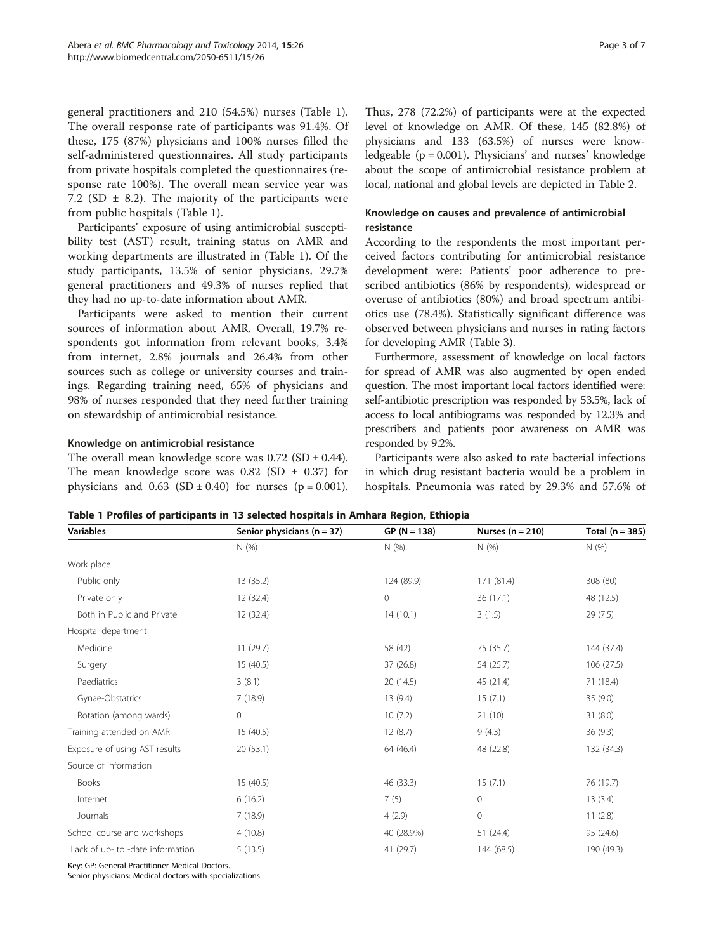general practitioners and 210 (54.5%) nurses (Table 1). The overall response rate of participants was 91.4%. Of these, 175 (87%) physicians and 100% nurses filled the self-administered questionnaires. All study participants from private hospitals completed the questionnaires (response rate 100%). The overall mean service year was 7.2 (SD  $\pm$  8.2). The majority of the participants were from public hospitals (Table 1).

Participants' exposure of using antimicrobial susceptibility test (AST) result, training status on AMR and working departments are illustrated in (Table 1). Of the study participants, 13.5% of senior physicians, 29.7% general practitioners and 49.3% of nurses replied that they had no up-to-date information about AMR.

Participants were asked to mention their current sources of information about AMR. Overall, 19.7% respondents got information from relevant books, 3.4% from internet, 2.8% journals and 26.4% from other sources such as college or university courses and trainings. Regarding training need, 65% of physicians and 98% of nurses responded that they need further training on stewardship of antimicrobial resistance.

#### Knowledge on antimicrobial resistance

The overall mean knowledge score was  $0.72$  (SD  $\pm$  0.44). The mean knowledge score was  $0.82$  (SD  $\pm$  0.37) for physicians and  $0.63$  (SD  $\pm$  0.40) for nurses (p = 0.001).

Thus, 278 (72.2%) of participants were at the expected level of knowledge on AMR. Of these, 145 (82.8%) of physicians and 133 (63.5%) of nurses were knowledgeable  $(p = 0.001)$ . Physicians' and nurses' knowledge about the scope of antimicrobial resistance problem at local, national and global levels are depicted in Table [2](#page-3-0).

# Knowledge on causes and prevalence of antimicrobial resistance

According to the respondents the most important perceived factors contributing for antimicrobial resistance development were: Patients' poor adherence to prescribed antibiotics (86% by respondents), widespread or overuse of antibiotics (80%) and broad spectrum antibiotics use (78.4%). Statistically significant difference was observed between physicians and nurses in rating factors for developing AMR (Table [3\)](#page-3-0).

Furthermore, assessment of knowledge on local factors for spread of AMR was also augmented by open ended question. The most important local factors identified were: self-antibiotic prescription was responded by 53.5%, lack of access to local antibiograms was responded by 12.3% and prescribers and patients poor awareness on AMR was responded by 9.2%.

Participants were also asked to rate bacterial infections in which drug resistant bacteria would be a problem in hospitals. Pneumonia was rated by 29.3% and 57.6% of

Table 1 Profiles of participants in 13 selected hospitals in Amhara Region, Ethiopia

| <b>Variables</b>                 | Senior physicians $(n = 37)$ | $GP (N = 138)$ | Nurses $(n = 210)$ | Total ( $n = 385$ ) |
|----------------------------------|------------------------------|----------------|--------------------|---------------------|
|                                  | N(%)                         | N(%)           | N(% )              | N(%)                |
| Work place                       |                              |                |                    |                     |
| Public only                      | 13 (35.2)                    | 124 (89.9)     | 171 (81.4)         | 308 (80)            |
| Private only                     | 12(32.4)                     | 0              | 36 (17.1)          | 48 (12.5)           |
| Both in Public and Private       | 12 (32.4)                    | 14(10.1)       | 3(1.5)             | 29(7.5)             |
| Hospital department              |                              |                |                    |                     |
| Medicine                         | 11(29.7)                     | 58 (42)        | 75 (35.7)          | 144 (37.4)          |
| Surgery                          | 15(40.5)                     | 37 (26.8)      | 54 (25.7)          | 106 (27.5)          |
| Paediatrics                      | 3(8.1)                       | 20 (14.5)      | 45 (21.4)          | 71 (18.4)           |
| Gynae-Obstatrics                 | 7(18.9)                      | 13(9.4)        | 15(7.1)            | 35(9.0)             |
| Rotation (among wards)           | 0                            | 10(7.2)        | 21(10)             | 31(8.0)             |
| Training attended on AMR         | 15(40.5)                     | 12(8.7)        | 9(4.3)             | 36(9.3)             |
| Exposure of using AST results    | 20 (53.1)                    | 64 (46.4)      | 48 (22.8)          | 132 (34.3)          |
| Source of information            |                              |                |                    |                     |
| <b>Books</b>                     | 15(40.5)                     | 46 (33.3)      | 15(7.1)            | 76 (19.7)           |
| Internet                         | 6(16.2)                      | 7(5)           | 0                  | 13(3.4)             |
| Journals                         | 7(18.9)                      | 4(2.9)         | $\mathbf{0}$       | 11(2.8)             |
| School course and workshops      | 4(10.8)                      | 40 (28.9%)     | 51 (24.4)          | 95 (24.6)           |
| Lack of up- to -date information | 5(13.5)                      | 41 (29.7)      | 144 (68.5)         | 190 (49.3)          |

Key: GP: General Practitioner Medical Doctors.

Senior physicians: Medical doctors with specializations.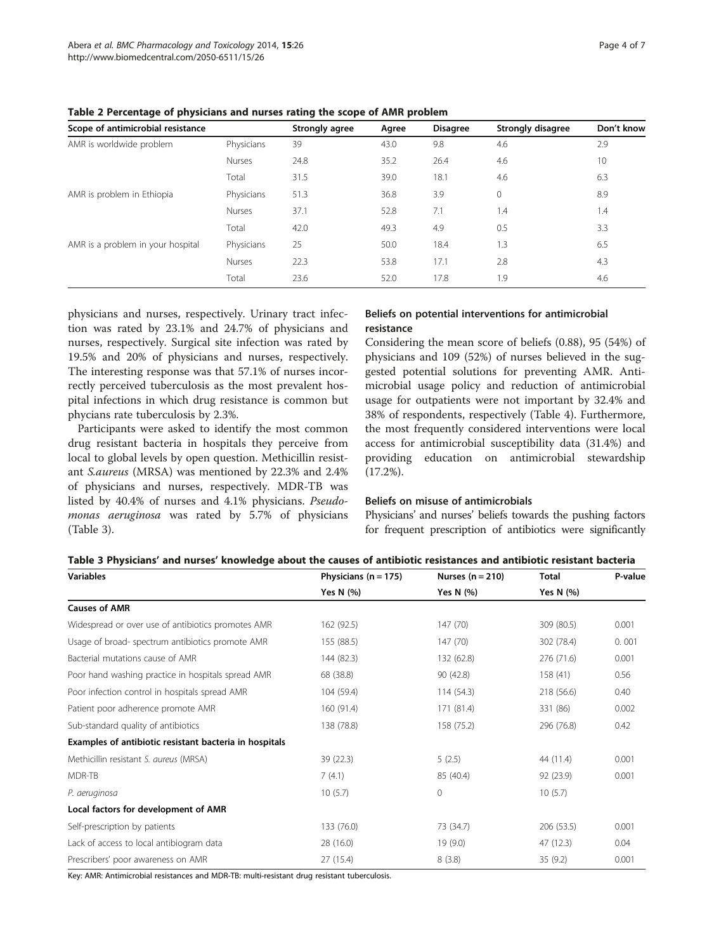| Scope of antimicrobial resistance |               | Strongly agree | Agree | <b>Disagree</b> | Strongly disagree | Don't know |
|-----------------------------------|---------------|----------------|-------|-----------------|-------------------|------------|
| AMR is worldwide problem          | Physicians    | 39             | 43.0  | 9.8             | 4.6               | 2.9        |
|                                   | <b>Nurses</b> | 24.8           | 35.2  | 26.4            | 4.6               | 10         |
|                                   | Total         | 31.5           | 39.0  | 18.1            | 4.6               | 6.3        |
| AMR is problem in Ethiopia        | Physicians    | 51.3           | 36.8  | 3.9             | $\mathbf{0}$      | 8.9        |
|                                   | <b>Nurses</b> | 37.1           | 52.8  | 7.1             | 1.4               | 1.4        |
|                                   | Total         | 42.0           | 49.3  | 4.9             | 0.5               | 3.3        |
| AMR is a problem in your hospital | Physicians    | 25             | 50.0  | 18.4            | 1.3               | 6.5        |
|                                   | Nurses        | 22.3           | 53.8  | 17.1            | 2.8               | 4.3        |
|                                   | Total         | 23.6           | 52.0  | 17.8            | 1.9               | 4.6        |

<span id="page-3-0"></span>Table 2 Percentage of physicians and nurses rating the scope of AMR problem

physicians and nurses, respectively. Urinary tract infection was rated by 23.1% and 24.7% of physicians and nurses, respectively. Surgical site infection was rated by 19.5% and 20% of physicians and nurses, respectively. The interesting response was that 57.1% of nurses incorrectly perceived tuberculosis as the most prevalent hospital infections in which drug resistance is common but phycians rate tuberculosis by 2.3%.

Participants were asked to identify the most common drug resistant bacteria in hospitals they perceive from local to global levels by open question. Methicillin resistant S.aureus (MRSA) was mentioned by 22.3% and 2.4% of physicians and nurses, respectively. MDR-TB was listed by 40.4% of nurses and 4.1% physicians. Pseudomonas aeruginosa was rated by 5.7% of physicians (Table 3).

# Beliefs on potential interventions for antimicrobial resistance

Considering the mean score of beliefs (0.88), 95 (54%) of physicians and 109 (52%) of nurses believed in the suggested potential solutions for preventing AMR. Antimicrobial usage policy and reduction of antimicrobial usage for outpatients were not important by 32.4% and 38% of respondents, respectively (Table [4\)](#page-4-0). Furthermore, the most frequently considered interventions were local access for antimicrobial susceptibility data (31.4%) and providing education on antimicrobial stewardship (17.2%).

# Beliefs on misuse of antimicrobials

Physicians' and nurses' beliefs towards the pushing factors for frequent prescription of antibiotics were significantly

# Table 3 Physicians' and nurses' knowledge about the causes of antibiotic resistances and antibiotic resistant bacteria

| <b>Variables</b>                                       | Physicians ( $n = 175$ ) | Nurses $(n = 210)$ | <b>Total</b> | P-value |
|--------------------------------------------------------|--------------------------|--------------------|--------------|---------|
|                                                        | Yes N (%)                | Yes N (%)          | Yes N (%)    |         |
| <b>Causes of AMR</b>                                   |                          |                    |              |         |
| Widespread or over use of antibiotics promotes AMR     | 162 (92.5)               | 147 (70)           | 309 (80.5)   | 0.001   |
| Usage of broad- spectrum antibiotics promote AMR       | 155 (88.5)               | 147 (70)           | 302 (78.4)   | 0.001   |
| Bacterial mutations cause of AMR                       | 144 (82.3)               | 132 (62.8)         | 276 (71.6)   | 0.001   |
| Poor hand washing practice in hospitals spread AMR     | 68 (38.8)                | 90 (42.8)          | 158 (41)     | 0.56    |
| Poor infection control in hospitals spread AMR         | 104 (59.4)               | 114(54.3)          | 218 (56.6)   | 0.40    |
| Patient poor adherence promote AMR                     | 160 (91.4)               | 171 (81.4)         | 331 (86)     | 0.002   |
| Sub-standard quality of antibiotics                    | 138 (78.8)               | 158 (75.2)         | 296 (76.8)   | 0.42    |
| Examples of antibiotic resistant bacteria in hospitals |                          |                    |              |         |
| Methicillin resistant S. aureus (MRSA)                 | 39 (22.3)                | 5(2.5)             | 44 (11.4)    | 0.001   |
| MDR-TB                                                 | 7(4.1)                   | 85 (40.4)          | 92 (23.9)    | 0.001   |
| P. aeruginosa                                          | 10(5.7)                  | 0                  | 10(5.7)      |         |
| Local factors for development of AMR                   |                          |                    |              |         |
| Self-prescription by patients                          | 133 (76.0)               | 73 (34.7)          | 206 (53.5)   | 0.001   |
| Lack of access to local antibiogram data               | 28 (16.0)                | 19(9.0)            | 47 (12.3)    | 0.04    |
| Prescribers' poor awareness on AMR                     | 27 (15.4)                | 8(3.8)             | 35(9.2)      | 0.001   |

Key: AMR: Antimicrobial resistances and MDR-TB: multi-resistant drug resistant tuberculosis.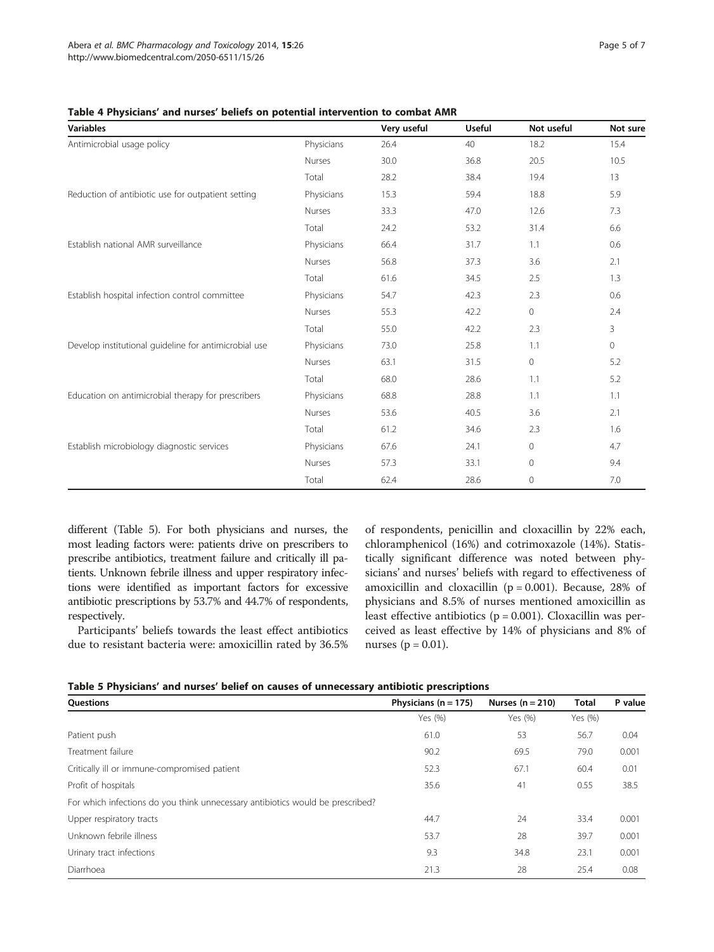| <b>Variables</b>                                      |               | Very useful | <b>Useful</b> | Not useful   | Not sure |
|-------------------------------------------------------|---------------|-------------|---------------|--------------|----------|
| Antimicrobial usage policy                            | Physicians    | 26.4        | 40            | 18.2         | 15.4     |
|                                                       | <b>Nurses</b> | 30.0        | 36.8          | 20.5         | 10.5     |
|                                                       | Total         | 28.2        | 38.4          | 19.4         | 13       |
| Reduction of antibiotic use for outpatient setting    | Physicians    | 15.3        | 59.4          | 18.8         | 5.9      |
|                                                       | <b>Nurses</b> | 33.3        | 47.0          | 12.6         | 7.3      |
|                                                       | Total         | 24.2        | 53.2          | 31.4         | 6.6      |
| Establish national AMR surveillance                   | Physicians    | 66.4        | 31.7          | 1.1          | 0.6      |
|                                                       | <b>Nurses</b> | 56.8        | 37.3          | 3.6          | 2.1      |
|                                                       | Total         | 61.6        | 34.5          | 2.5          | 1.3      |
| Establish hospital infection control committee        | Physicians    | 54.7        | 42.3          | 2.3          | 0.6      |
|                                                       | Nurses        | 55.3        | 42.2          | $\circ$      | 2.4      |
|                                                       | Total         | 55.0        | 42.2          | 2.3          | 3        |
| Develop institutional guideline for antimicrobial use | Physicians    | 73.0        | 25.8          | 1.1          | $\circ$  |
|                                                       | Nurses        | 63.1        | 31.5          | $\circ$      | 5.2      |
|                                                       | Total         | 68.0        | 28.6          | 1.1          | 5.2      |
| Education on antimicrobial therapy for prescribers    | Physicians    | 68.8        | 28.8          | 1.1          | 1.1      |
|                                                       | <b>Nurses</b> | 53.6        | 40.5          | 3.6          | 2.1      |
|                                                       | Total         | 61.2        | 34.6          | 2.3          | 1.6      |
| Establish microbiology diagnostic services            | Physicians    | 67.6        | 24.1          | $\mathbf{0}$ | 4.7      |
|                                                       | Nurses        | 57.3        | 33.1          | $\mathbf 0$  | 9.4      |
|                                                       | Total         | 62.4        | 28.6          | $\mathbf 0$  | 7.0      |

<span id="page-4-0"></span>Table 4 Physicians' and nurses' beliefs on potential intervention to combat AMR

different (Table 5). For both physicians and nurses, the most leading factors were: patients drive on prescribers to prescribe antibiotics, treatment failure and critically ill patients. Unknown febrile illness and upper respiratory infections were identified as important factors for excessive antibiotic prescriptions by 53.7% and 44.7% of respondents, respectively.

Participants' beliefs towards the least effect antibiotics due to resistant bacteria were: amoxicillin rated by 36.5% of respondents, penicillin and cloxacillin by 22% each, chloramphenicol (16%) and cotrimoxazole (14%). Statistically significant difference was noted between physicians' and nurses' beliefs with regard to effectiveness of amoxicillin and cloxacillin ( $p = 0.001$ ). Because, 28% of physicians and 8.5% of nurses mentioned amoxicillin as least effective antibiotics ( $p = 0.001$ ). Cloxacillin was perceived as least effective by 14% of physicians and 8% of nurses ( $p = 0.01$ ).

| Table 5 Physicians' and nurses' belief on causes of unnecessary antibiotic prescriptions |  |  |  |  |  |  |
|------------------------------------------------------------------------------------------|--|--|--|--|--|--|
|------------------------------------------------------------------------------------------|--|--|--|--|--|--|

| Questions                                                                      | Physicians ( $n = 175$ ) | Nurses $(n = 210)$ | <b>Total</b> | P value |
|--------------------------------------------------------------------------------|--------------------------|--------------------|--------------|---------|
|                                                                                | Yes (%)                  | Yes (%)            | Yes (%)      |         |
| Patient push                                                                   | 61.0                     | 53                 | 56.7         | 0.04    |
| Treatment failure                                                              | 90.2                     | 69.5               | 79.0         | 0.001   |
| Critically ill or immune-compromised patient                                   | 52.3                     | 67.1               | 60.4         | 0.01    |
| Profit of hospitals                                                            | 35.6                     | 41                 | 0.55         | 38.5    |
| For which infections do you think unnecessary antibiotics would be prescribed? |                          |                    |              |         |
| Upper respiratory tracts                                                       | 44.7                     | 24                 | 33.4         | 0.001   |
| Unknown febrile illness                                                        | 53.7                     | 28                 | 39.7         | 0.001   |
| Urinary tract infections                                                       | 9.3                      | 34.8               | 23.1         | 0.001   |
| Diarrhoea                                                                      | 21.3                     | 28                 | 25.4         | 0.08    |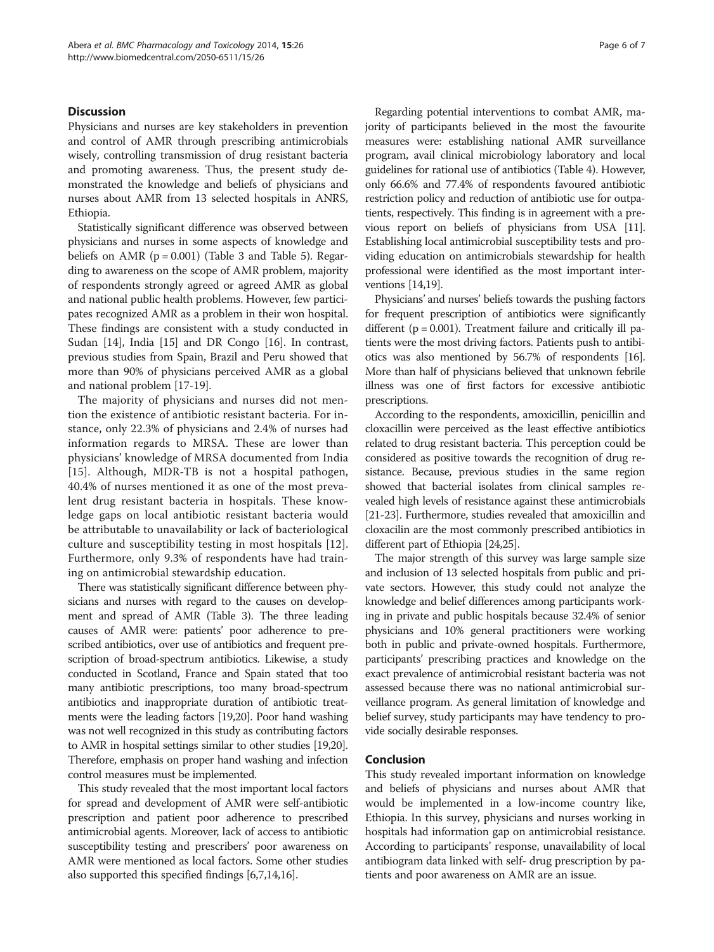#### Discussion

Physicians and nurses are key stakeholders in prevention and control of AMR through prescribing antimicrobials wisely, controlling transmission of drug resistant bacteria and promoting awareness. Thus, the present study demonstrated the knowledge and beliefs of physicians and nurses about AMR from 13 selected hospitals in ANRS, Ethiopia.

Statistically significant difference was observed between physicians and nurses in some aspects of knowledge and beliefs on  $AMR$  ( $p = 0.001$ ) (Table [3](#page-3-0) and Table [5\)](#page-4-0). Regarding to awareness on the scope of AMR problem, majority of respondents strongly agreed or agreed AMR as global and national public health problems. However, few participates recognized AMR as a problem in their won hospital. These findings are consistent with a study conducted in Sudan [\[14\]](#page-6-0), India [\[15\]](#page-6-0) and DR Congo [[16](#page-6-0)]. In contrast, previous studies from Spain, Brazil and Peru showed that more than 90% of physicians perceived AMR as a global and national problem [\[17](#page-6-0)-[19](#page-6-0)].

The majority of physicians and nurses did not mention the existence of antibiotic resistant bacteria. For instance, only 22.3% of physicians and 2.4% of nurses had information regards to MRSA. These are lower than physicians' knowledge of MRSA documented from India [[15\]](#page-6-0). Although, MDR-TB is not a hospital pathogen, 40.4% of nurses mentioned it as one of the most prevalent drug resistant bacteria in hospitals. These knowledge gaps on local antibiotic resistant bacteria would be attributable to unavailability or lack of bacteriological culture and susceptibility testing in most hospitals [\[12](#page-6-0)]. Furthermore, only 9.3% of respondents have had training on antimicrobial stewardship education.

There was statistically significant difference between physicians and nurses with regard to the causes on development and spread of AMR (Table [3](#page-3-0)). The three leading causes of AMR were: patients' poor adherence to prescribed antibiotics, over use of antibiotics and frequent prescription of broad-spectrum antibiotics. Likewise, a study conducted in Scotland, France and Spain stated that too many antibiotic prescriptions, too many broad-spectrum antibiotics and inappropriate duration of antibiotic treatments were the leading factors [[19,20\]](#page-6-0). Poor hand washing was not well recognized in this study as contributing factors to AMR in hospital settings similar to other studies [[19,20](#page-6-0)]. Therefore, emphasis on proper hand washing and infection control measures must be implemented.

This study revealed that the most important local factors for spread and development of AMR were self-antibiotic prescription and patient poor adherence to prescribed antimicrobial agents. Moreover, lack of access to antibiotic susceptibility testing and prescribers' poor awareness on AMR were mentioned as local factors. Some other studies also supported this specified findings [[6,7,14,16](#page-6-0)].

Regarding potential interventions to combat AMR, majority of participants believed in the most the favourite measures were: establishing national AMR surveillance program, avail clinical microbiology laboratory and local guidelines for rational use of antibiotics (Table [4\)](#page-4-0). However, only 66.6% and 77.4% of respondents favoured antibiotic restriction policy and reduction of antibiotic use for outpatients, respectively. This finding is in agreement with a previous report on beliefs of physicians from USA [[11](#page-6-0)]. Establishing local antimicrobial susceptibility tests and providing education on antimicrobials stewardship for health professional were identified as the most important interventions [[14,19\]](#page-6-0).

Physicians' and nurses' beliefs towards the pushing factors for frequent prescription of antibiotics were significantly different ( $p = 0.001$ ). Treatment failure and critically ill patients were the most driving factors. Patients push to antibiotics was also mentioned by 56.7% of respondents [\[16](#page-6-0)]. More than half of physicians believed that unknown febrile illness was one of first factors for excessive antibiotic prescriptions.

According to the respondents, amoxicillin, penicillin and cloxacillin were perceived as the least effective antibiotics related to drug resistant bacteria. This perception could be considered as positive towards the recognition of drug resistance. Because, previous studies in the same region showed that bacterial isolates from clinical samples revealed high levels of resistance against these antimicrobials [[21](#page-6-0)-[23](#page-6-0)]. Furthermore, studies revealed that amoxicillin and cloxacilin are the most commonly prescribed antibiotics in different part of Ethiopia [[24,25\]](#page-6-0).

The major strength of this survey was large sample size and inclusion of 13 selected hospitals from public and private sectors. However, this study could not analyze the knowledge and belief differences among participants working in private and public hospitals because 32.4% of senior physicians and 10% general practitioners were working both in public and private-owned hospitals. Furthermore, participants' prescribing practices and knowledge on the exact prevalence of antimicrobial resistant bacteria was not assessed because there was no national antimicrobial surveillance program. As general limitation of knowledge and belief survey, study participants may have tendency to provide socially desirable responses.

#### Conclusion

This study revealed important information on knowledge and beliefs of physicians and nurses about AMR that would be implemented in a low-income country like, Ethiopia. In this survey, physicians and nurses working in hospitals had information gap on antimicrobial resistance. According to participants' response, unavailability of local antibiogram data linked with self- drug prescription by patients and poor awareness on AMR are an issue.